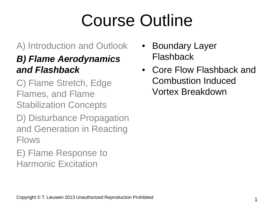# Course Outline

#### A) Introduction and Outlook

#### *B) Flame Aerodynamics and Flashback*

C) Flame Stretch, Edge Flames, and Flame Stabilization Concepts

D) Disturbance Propagation and Generation in Reacting Flows

E) Flame Response to Harmonic Excitation

- Boundary Layer Flashback
- Core Flow Flashback and Combustion Induced Vortex Breakdown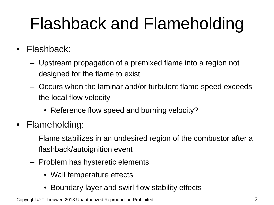## Flashback and Flameholding

- Flashback:
	- Upstream propagation of a premixed flame into a region not designed for the flame to exist
	- Occurs when the laminar and/or turbulent flame speed exceeds the local flow velocity
		- Reference flow speed and burning velocity?
- Flameholding:
	- Flame stabilizes in an undesired region of the combustor after a flashback/autoignition event
	- Problem has hysteretic elements
		- Wall temperature effects
		- Boundary layer and swirl flow stability effects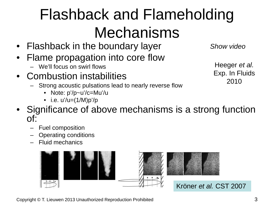## Flashback and Flameholding Mechanisms

- Flashback in the boundary layer
- Flame propagation into core flow
	- We'll focus on swirl flows
- Combustion instabilities
	- Strong acoustic pulsations lead to nearly reverse flow
		- Note: p'/p~u'/c=Mu'/u
		- i.e.  $u' / u = (1/M)p'/p$

*Show video*

Heeger *et al.* Exp. In Fluids 2010

- Significance of above mechanisms is a strong function of:
	- Fuel composition
	- Operating conditions
	- Fluid mechanics

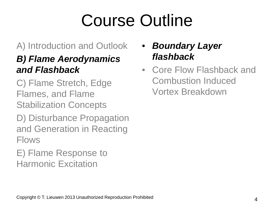# Course Outline

#### A) Introduction and Outlook

#### *B) Flame Aerodynamics and Flashback*

C) Flame Stretch, Edge Flames, and Flame Stabilization Concepts

D) Disturbance Propagation and Generation in Reacting Flows

E) Flame Response to Harmonic Excitation

#### • *Boundary Layer flashback*

• Core Flow Flashback and Combustion Induced Vortex Breakdown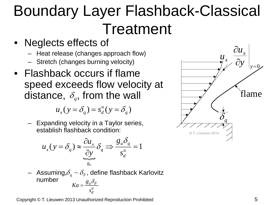## Boundary Layer Flashback-Classical Treatment

- Neglects effects of
	- Heat release (changes approach flow)
	- Stretch (changes burning velocity)
- Flashback occurs if flame speed exceeds flow velocity at distance,  $\delta_q$ , from the wall

$$
u_x(y = \delta_q) = s_d^u(y = \delta_q)
$$

– Expanding velocity in a Taylor series, establish flashback condition:

$$
u_x(y = \delta_q) \approx \frac{\partial u_x}{\partial y} \delta_q \Rightarrow \frac{g_u \delta_q}{s_u^u} = 1
$$

 $-$  Assuming, $\delta_{q}\sim\delta_{\scriptscriptstyle F}$ , define flashback Karlovitz number  $u$ <sup> $U$ </sup> $F$ *u d*  $Ka = \frac{g}{g}$ *s*  $=\frac{g_u\delta_u}{\mu}$ 



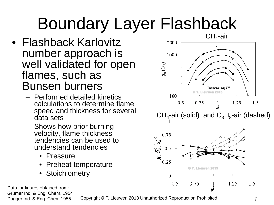## Boundary Layer Flashback

- Flashback Karlovitz number approach is well validated for open flames, such as Bunsen burners
	- Performed detailed kinetics calculations to determine flame speed and thickness for several data sets
	- Shows how prior burning velocity, flame thickness tendencies can be used to understand tendencies
		- Pressure
		- Preheat temperature
		- **Stoichiometry**



Data for figures obtained from: Grumer Ind. & Eng. Chem. 1954

Dugger Ind. & Eng. Chem 1955 Copyright © T. Lieuwen 2013 Unauthorized Reproduction Prohibited 6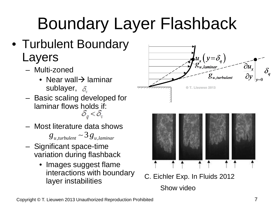# Boundary Layer Flashback

- Turbulent Boundary Layers
	- Multi-zoned
		- Near wall $\rightarrow$  laminar sublayer,  $\delta$
	- Basic scaling developed for laminar flows holds if:<br> $\delta_a < \delta_v$
	- Most literature data shows
		- $g_{u, turbulent} \sim 3 g_{u, laminar}$
	- Significant space-time variation during flashback
		- Images suggest flame interactions with boundary layer instabilities



C. Eichler Exp. In Fluids 2012 Show video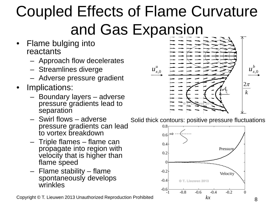## Coupled Effects of Flame Curvature and Gas Expansion

- Flame bulging into reactants
	- Approach flow decelerates
	- Streamlines diverge
	- Adverse pressure gradient
- Implications:
	- Boundary layers adverse pressure gradients lead to **separation**
	- Swirl flows adverse pressure gradients can lead to vortex breakdown
	- Triple flames flame can propagate into region with velocity that is higher than flame speed
	- Flame stability flame spontaneously develops wrinkles

Copyright © T. Lieuwen 2013 Unauthorized Reproduction Prohibited *kx* kx 68



Solid thick contours: positive pressure fluctuations

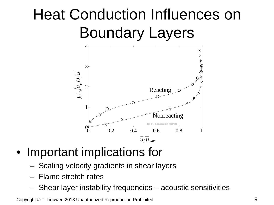### Heat Conduction Influences on Boundary Layers



### • Important implications for

- Scaling velocity gradients in shear layers
- Flame stretch rates
- Shear layer instability frequencies acoustic sensitivities

Copyright © T. Lieuwen 2013 Unauthorized Reproduction Prohibited 9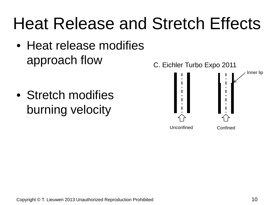## Heat Release and Stretch Effects

• Heat release modifies approach flow

• Stretch modifies burning velocity

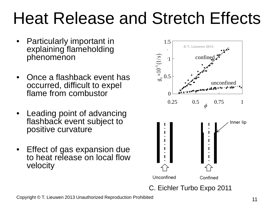## Heat Release and Stretch Effects

- Particularly important in explaining flameholding phenomenon
- Once a flashback event has occurred, difficult to expel flame from combustor
- Leading point of advancing flashback event subject to positive curvature
- Effect of gas expansion due to heat release on local flow velocity

![](_page_10_Figure_5.jpeg)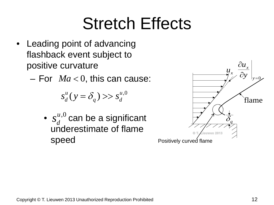## Stretch Effects

- Leading point of advancing flashback event subject to positive curvature
	- $-$  For  $Ma < 0$ , this can cause:

$$
s_d^u(y = \delta_q) \gg s_d^{u,0}
$$

•  $s_d^{u,0}$  can be a significant underestimate of flame speed

![](_page_11_Figure_5.jpeg)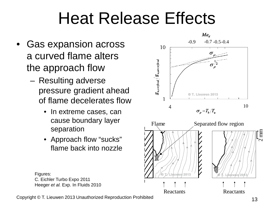## Heat Release Effects

- Gas expansion across a curved flame alters the approach flow
	- Resulting adverse pressure gradient ahead of flame decelerates flow
		- In extreme cases, can cause boundary layer separation
		- Approach flow "sucks" flame back into nozzle

![](_page_12_Figure_5.jpeg)

Figures: C. Eichler Turbo Expo 2011 Heeger *et al.* Exp. In Fluids 2010

Copyright © T. Lieuwen 2013 Unauthorized Reproduction Prohibited 13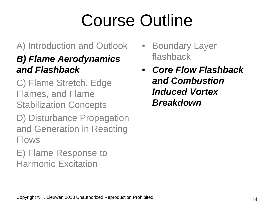# Course Outline

#### A) Introduction and Outlook

#### *B) Flame Aerodynamics and Flashback*

C) Flame Stretch, Edge Flames, and Flame Stabilization Concepts

D) Disturbance Propagation and Generation in Reacting Flows

E) Flame Response to Harmonic Excitation

- Boundary Layer flashback
- *Core Flow Flashback and Combustion Induced Vortex Breakdown*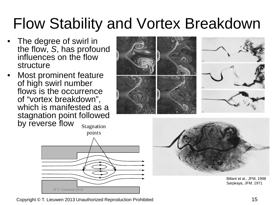### Flow Stability and Vortex Breakdown

- The degree of swirl in the flow, *S*, has profound influences on the flow structure
- Most prominent feature of high swirl number flows is the occurrence of "vortex breakdown", which is manifested as a stagnation point followed by reverse flow Stagnation

![](_page_14_Picture_3.jpeg)

![](_page_14_Picture_4.jpeg)

Billant et al., JFM, 1998 Sarpkaya, JFM, 1971

Copyright © T. Lieuwen 2013 Unauthorized Reproduction Prohibited 15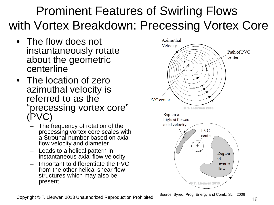### Prominent Features of Swirling Flows with Vortex Breakdown: Precessing Vortex Core

- The flow does not instantaneously rotate about the geometric centerline
- The location of zero azimuthal velocity is referred to as the "precessing vortex core" (PVC)
	- The frequency of rotation of the precessing vortex core scales with a Strouhal number based on axial flow velocity and diameter
	- Leads to a helical pattern in instantaneous axial flow velocity
	- Important to differentiate the PVC from the other helical shear flow structures which may also be present

![](_page_15_Figure_6.jpeg)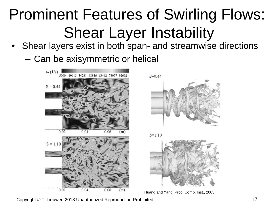## Prominent Features of Swirling Flows: Shear Layer Instability

- Shear layers exist in both span- and streamwise directions
	- Can be axisymmetric or helical

![](_page_16_Picture_3.jpeg)

![](_page_16_Picture_4.jpeg)

![](_page_16_Figure_5.jpeg)

![](_page_16_Picture_6.jpeg)

Huang and Yang, Proc. Comb. Inst., 2005

Copyright © T. Lieuwen 2013 Unauthorized Reproduction Prohibited 17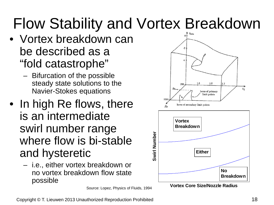### Flow Stability and Vortex Breakdown

- Vortex breakdown can be described as a "fold catastrophe"
	- Bifurcation of the possible steady state solutions to the Navier-Stokes equations
- In high Re flows, there is an intermediate swirl number range where flow is bi-stable and hysteretic
	- i.e., either vortex breakdown or no vortex breakdown flow state possible

Source: Lopez, Physics of Fluids, 1994

![](_page_17_Figure_6.jpeg)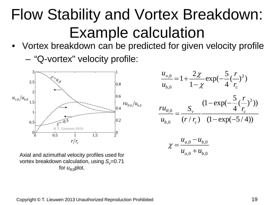### Flow Stability and Vortex Breakdown: Example calculation

• Vortex breakdown can be predicted for given velocity profile

– "Q-vortex" velocity profile:

![](_page_18_Figure_3.jpeg)

$$
\frac{u_{x,0}}{u_{b,0}} = 1 + \frac{2\chi}{1 - \chi} \exp(-\frac{5}{4}(\frac{r}{r_c})^2)
$$

$$
\frac{ru_{\theta,0}}{u_{b,0}} = \frac{S_v}{(r/r_c)} \frac{(1 - \exp(-\frac{5}{4}(\frac{r}{r_c})^2))}{(1 - \exp(-5/4))}
$$

$$
\chi = \frac{u_{a,0} - u_{b,0}}{u_{a,0} + u_{b,0}}
$$

Axial and azimuthal velocity profiles used for vortex breakdown calculation, using  $S_r = 0.71$ for  $u_{\theta}$ <sub>o</sub>plot.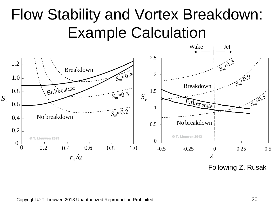### Flow Stability and Vortex Breakdown: Example Calculation

![](_page_19_Figure_1.jpeg)